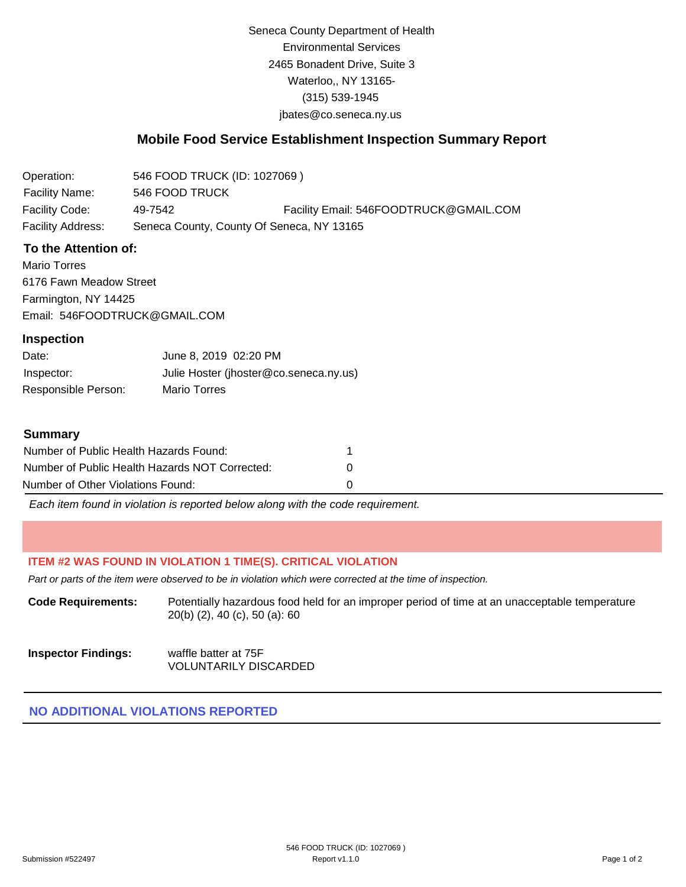Seneca County Department of Health Environmental Services 2465 Bonadent Drive, Suite 3 Waterloo,, NY 13165- (315) 539-1945 [jbates@co.seneca.ny.us](mailto:jbates@co.seneca.ny.us)

# **Mobile Food Service Establishment Inspection Summary Report**

| Operation:        | 546 FOOD TRUCK (ID: 1027069)              |                                        |
|-------------------|-------------------------------------------|----------------------------------------|
| Facility Name:    | 546 FOOD TRUCK                            |                                        |
| Facility Code:    | 49-7542                                   | Facility Email: 546FOODTRUCK@GMAIL.COM |
| Facility Address: | Seneca County, County Of Seneca, NY 13165 |                                        |

### **To the Attention of:**

Mario Torres 6176 Fawn Meadow Street Farmington, NY 14425 [Email: 546FOODTRUCK@GMAIL.COM](mailto:546FOODTRUCK@GMAIL.COM)

#### **Inspection**

| Date:               | June 8, 2019 02:20 PM                  |
|---------------------|----------------------------------------|
| Inspector:          | Julie Hoster (jhoster@co.seneca.ny.us) |
| Responsible Person: | Mario Torres                           |

#### **Summary**

| Number of Public Health Hazards Found:         |   |
|------------------------------------------------|---|
| Number of Public Health Hazards NOT Corrected: | n |
| Number of Other Violations Found:              |   |

*Each item found in violation is reported below along with the code requirement.*

## **ITEM #2 WAS FOUND IN VIOLATION 1 TIME(S). CRITICAL VIOLATION**

*Part or parts of the item were observed to be in violation which were corrected at the time of inspection.*

**Code Requirements:** Potentially hazardous food held for an improper period of time at an unacceptable temperature 20(b) (2), 40 (c), 50 (a): 60

| <b>Inspector Findings:</b> | waffle batter at 75F         |
|----------------------------|------------------------------|
|                            | <b>VOLUNTARILY DISCARDED</b> |

## **NO ADDITIONAL VIOLATIONS REPORTED**